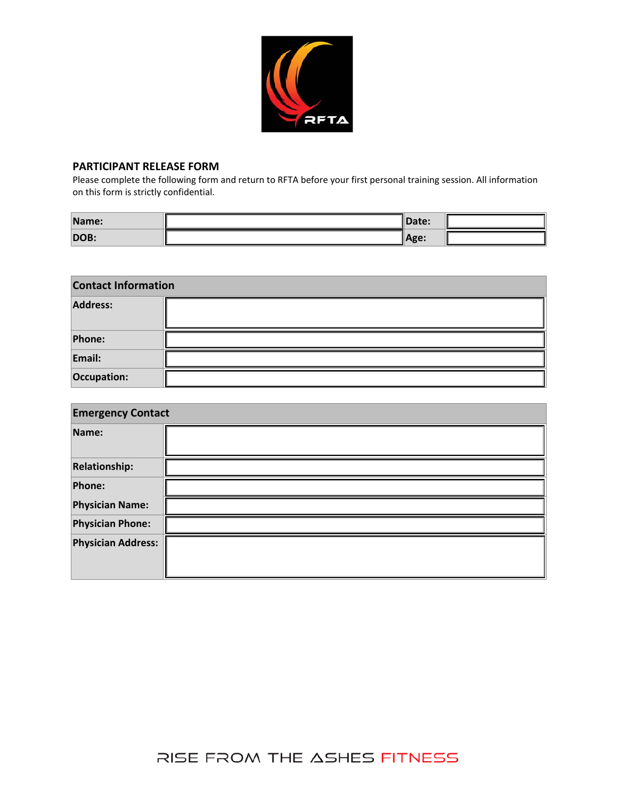

#### **PARTICIPANT RELEASE FORM**

Please complete the following form and return to RFTA before your first personal training session. All information on this form is strictly confidential.

| Name: | Date: |  |
|-------|-------|--|
| DOB:  | Age:  |  |

| <b>Contact Information</b> |  |  |  |
|----------------------------|--|--|--|
| Address:                   |  |  |  |
| Phone:                     |  |  |  |
| Email:                     |  |  |  |
| Occupation:                |  |  |  |

| <b>Emergency Contact</b>  |  |  |  |
|---------------------------|--|--|--|
| Name:                     |  |  |  |
| <b>Relationship:</b>      |  |  |  |
| Phone:                    |  |  |  |
| <b>Physician Name:</b>    |  |  |  |
| <b>Physician Phone:</b>   |  |  |  |
| <b>Physician Address:</b> |  |  |  |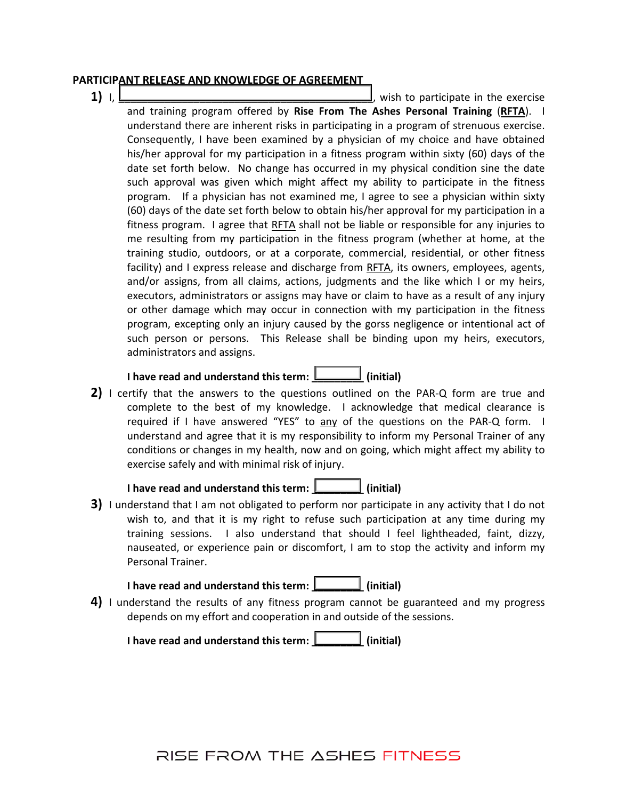#### **PARTICIPANT RELEASE AND KNOWLEDGE OF AGREEMENT**

**1)**  $\Box$  **1)**  $\Box$ and training program offered by **Rise From The Ashes Personal Training** (**RFTA**). I understand there are inherent risks in participating in a program of strenuous exercise. Consequently, I have been examined by a physician of my choice and have obtained his/her approval for my participation in a fitness program within sixty (60) days of the date set forth below. No change has occurred in my physical condition sine the date such approval was given which might affect my ability to participate in the fitness program. If a physician has not examined me, I agree to see a physician within sixty (60) days of the date set forth below to obtain his/her approval for my participation in a fitness program. I agree that RFTA shall not be liable or responsible for any injuries to me resulting from my participation in the fitness program (whether at home, at the training studio, outdoors, or at a corporate, commercial, residential, or other fitness facility) and I express release and discharge from RFTA, its owners, employees, agents, and/or assigns, from all claims, actions, judgments and the like which I or my heirs, executors, administrators or assigns may have or claim to have as a result of any injury or other damage which may occur in connection with my participation in the fitness program, excepting only an injury caused by the gorss negligence or intentional act of such person or persons. This Release shall be binding upon my heirs, executors, administrators and assigns.

### **I have read and understand this term: \_\_\_\_\_\_\_\_\_ (initial)**

**2)** I certify that the answers to the questions outlined on the PAR‐Q form are true and complete to the best of my knowledge. I acknowledge that medical clearance is required if I have answered "YES" to any of the questions on the PAR-Q form. I understand and agree that it is my responsibility to inform my Personal Trainer of any conditions or changes in my health, now and on going, which might affect my ability to exercise safely and with minimal risk of injury.

## **I have read and understand this term: \_\_\_\_\_\_\_\_\_ (initial)**

**3)** I understand that I am not obligated to perform nor participate in any activity that I do not wish to, and that it is my right to refuse such participation at any time during my training sessions. I also understand that should I feel lightheaded, faint, dizzy, nauseated, or experience pain or discomfort, I am to stop the activity and inform my Personal Trainer.

## **I have read and understand this term: \_\_\_\_\_\_\_\_\_ (initial)**

**4)** I understand the results of any fitness program cannot be guaranteed and my progress depends on my effort and cooperation in and outside of the sessions.

**I have read and understand this term: \_\_\_\_\_\_\_\_\_ (initial)**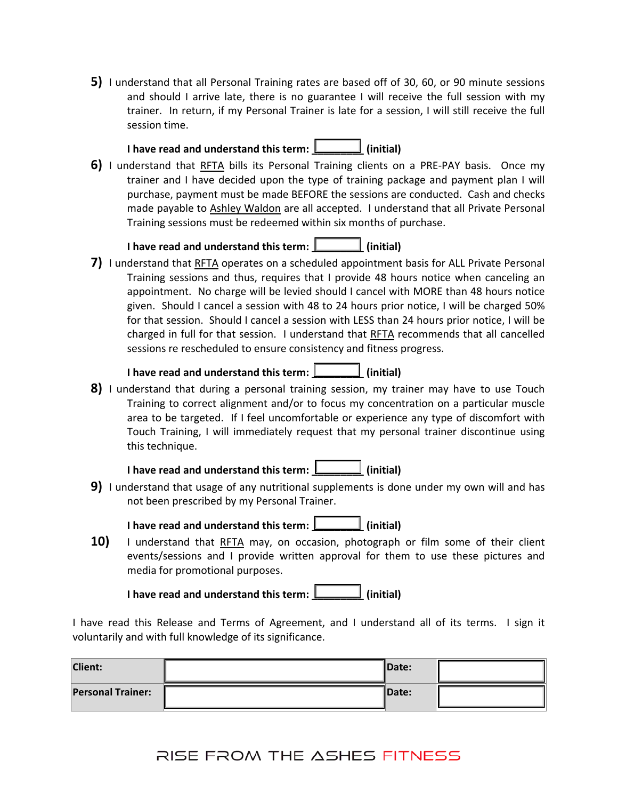**5)** I understand that all Personal Training rates are based off of 30, 60, or 90 minute sessions and should I arrive late, there is no guarantee I will receive the full session with my trainer. In return, if my Personal Trainer is late for a session, I will still receive the full session time.

## **I have read and understand this term: \_\_\_\_\_\_\_\_\_ (initial)**

**6)** I understand that RFTA bills its Personal Training clients on a PRE-PAY basis. Once my trainer and I have decided upon the type of training package and payment plan I will purchase, payment must be made BEFORE the sessions are conducted. Cash and checks made payable to Ashley Waldon are all accepted. I understand that all Private Personal Training sessions must be redeemed within six months of purchase.

### **I have read and understand this term: \_\_\_\_\_\_\_\_\_ (initial)**

**7)** I understand that RFTA operates on a scheduled appointment basis for ALL Private Personal Training sessions and thus, requires that I provide 48 hours notice when canceling an appointment. No charge will be levied should I cancel with MORE than 48 hours notice given. Should I cancel a session with 48 to 24 hours prior notice, I will be charged 50% for that session. Should I cancel a session with LESS than 24 hours prior notice, I will be charged in full for that session. I understand that RFTA recommends that all cancelled sessions re rescheduled to ensure consistency and fitness progress.

### **I have read and understand this term: \_\_\_\_\_\_\_\_\_ (initial)**

**8)** I understand that during a personal training session, my trainer may have to use Touch Training to correct alignment and/or to focus my concentration on a particular muscle area to be targeted. If I feel uncomfortable or experience any type of discomfort with Touch Training, I will immediately request that my personal trainer discontinue using this technique.



**9)** I understand that usage of any nutritional supplements is done under my own will and has not been prescribed by my Personal Trainer.

**I have read and understand this term: \_\_\_\_\_\_\_\_\_ (initial)**

**10)** I understand that RFTA may, on occasion, photograph or film some of their client events/sessions and I provide written approval for them to use these pictures and media for promotional purposes.

**I have read and understand this term: \_\_\_\_\_\_\_\_\_ (initial)**

I have read this Release and Terms of Agreement, and I understand all of its terms. I sign it voluntarily and with full knowledge of its significance.

| <b>Client:</b>           | Date:         |  |
|--------------------------|---------------|--|
| <b>Personal Trainer:</b> | <b>IDate:</b> |  |

## RISE FROM THE ASHES FITNESS